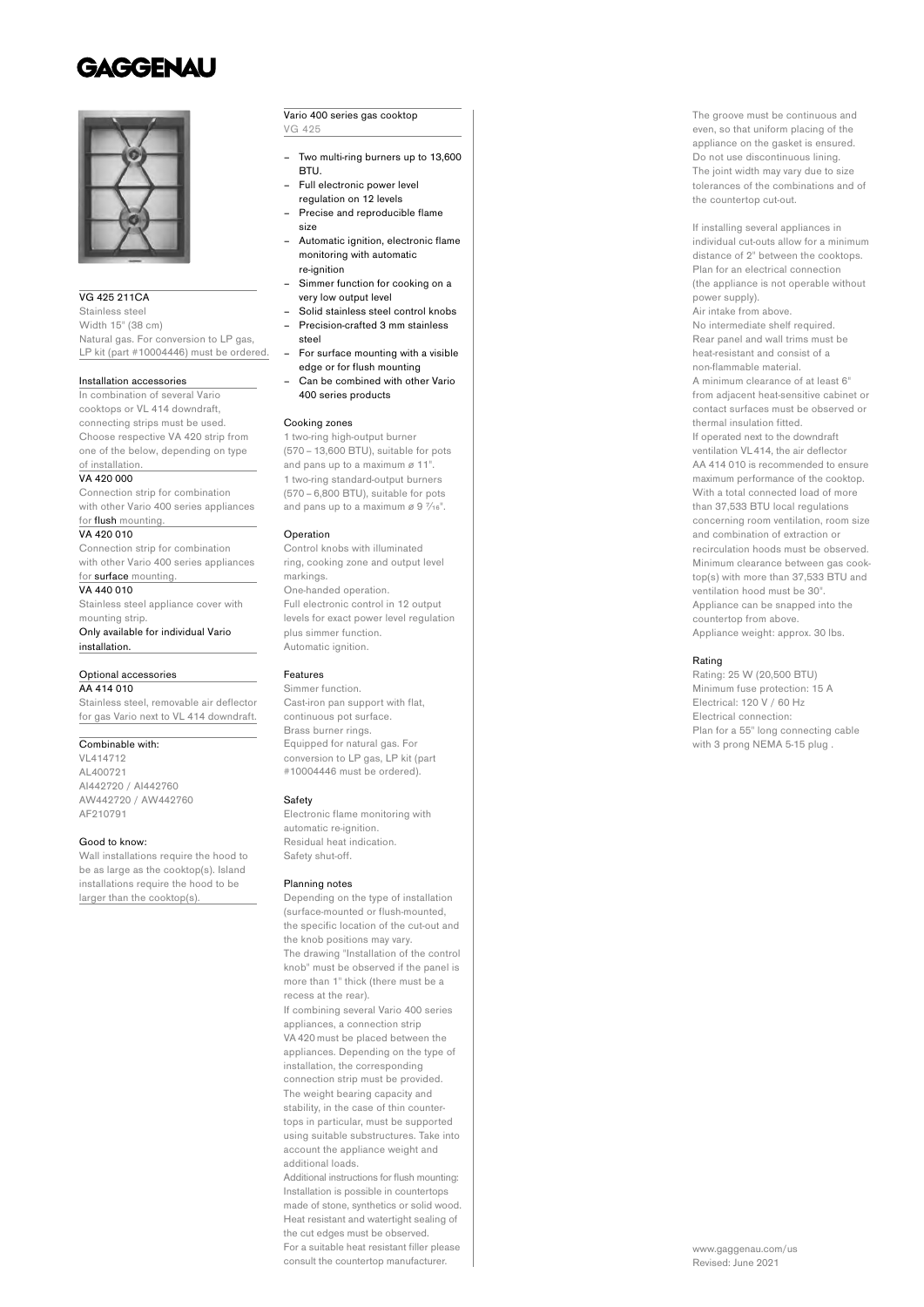# **GAGGENAU**



#### VG 425 211CA

Stainless steel Width 15" (38 cm) Natural gas. For conversion to LP gas, LP kit (part #10004446) must be ordered.

#### Installation accessories

In combination of several Vario cooktops or VL 414 downdraft, connecting strips must be used. Choose respective VA 420 strip from one of the below, depending on type of installation.

#### VA 420,000

Connection strip for combination with other Vario 400 series appliances for flush mounting.

#### VA 420 010

Connection strip for combination with other Vario 400 series appliances

### for surface mounting.

VA 440 010 Stainless steel appliance cover with mounting strip.

Only available for individual Vario installation.

#### Optional accessories AA 414 010

Stainless steel, removable air deflector for gas Vario next to VL 414 downdraft.

### Combinable with:

VL414712 AL400721 AI442720 / AI442760 AW442720 / AW442760 AF210791

#### Good to know:

Wall installations require the hood to be as large as the cooktop(s). Island installations require the hood to be larger than the cooktop(s).

#### Vario 400 series gas cooktop VG 425

- Two multi-ring burners up to 13,600 BTU.
- Full electronic power level
- regulation on 12 levels – Precise and reproducible flame
- size – Automatic ignition, electronic flame
- monitoring with automatic re-ignition
- Simmer function for cooking on a very low output level
- Solid stainless steel control knobs – Precision-crafted 3 mm stainless
- steel – For surface mounting with a visible
- edge or for flush mounting – Can be combined with other Vario
- 400 series products

#### Cooking zones

1 two-ring high-output burner (570 – 13,600 BTU), suitable for pots and pans up to a maximum ø 11". 1 two-ring standard-output burners (570 – 6,800 BTU), suitable for pots and pans up to a maximum  $\alpha$  9  $\frac{7}{16}$ ".

#### **Operation**

Control knobs with illuminated ring, cooking zone and output level markings. One-handed operation. Full electronic control in 12 output levels for exact power level regulation plus simmer function. Automatic ignition.

### Features

Simmer function. Cast-iron pan support with flat, continuous pot surface. Brass burner rings. Equipped for natural gas. For  conversion to LP gas, LP kit (part #10004446 must be ordered).

#### Safety

Electronic flame monitoring with automatic re-ignition. Residual heat indication. Safety shut-off.

#### Planning notes

Depending on the type of installation (surface-mounted or flush-mounted, the specific location of the cut-out and the knob positions may vary. The drawing "Installation of the control knob" must be observed if the panel is more than 1" thick (there must be a recess at the rear). If combining several Vario 400 series appliances, a connection strip VA 420 must be placed between the appliances. Depending on the type of installation, the corresponding connection strip must be provided. The weight bearing capacity and stability, in the case of thin countertops in particular, must be supported using suitable substructures. Take into account the appliance weight and additional loads. Additional instructions for flush mounting: Installation is possible in countertops

made of stone, synthetics or solid wood. Heat resistant and watertight sealing of the cut edges must be observed. For a suitable heat resistant filler please consult the countertop manufacturer.

The groove must be continuous and even, so that uniform placing of the appliance on the gasket is ensured. Do not use discontinuous lining. The joint width may vary due to size tolerances of the combinations and of the countertop cut-out.

If installing several appliances in individual cut-outs allow for a minimum distance of 2" between the cooktops. Plan for an electrical connection (the appliance is not operable without power supply). Air intake from above. No intermediate shelf required. Rear panel and wall trims must be heat-resistant and consist of a non-flammable material. A minimum clearance of at least 6" from adjacent heat-sensitive cabinet or contact surfaces must be observed or thermal insulation fitted. If operated next to the downdraft ventilation VL 414, the air deflector AA 414 010 is recommended to ensure maximum performance of the cooktop. With a total connected load of more than 37,533 BTU local regulations concerning room ventilation, room size and combination of extraction or recirculation hoods must be observed. Minimum clearance between gas cooktop(s) with more than 37,533 BTU and ventilation hood must be 30". Appliance can be snapped into the countertop from above. Appliance weight: approx. 30 lbs.

#### Rating

Rating: 25 W (20,500 BTU) Minimum fuse protection: 15 A Electrical: 120 V / 60 Hz Electrical connection: Plan for a 55" long connecting cable with 3 prong NEMA 5-15 plug .